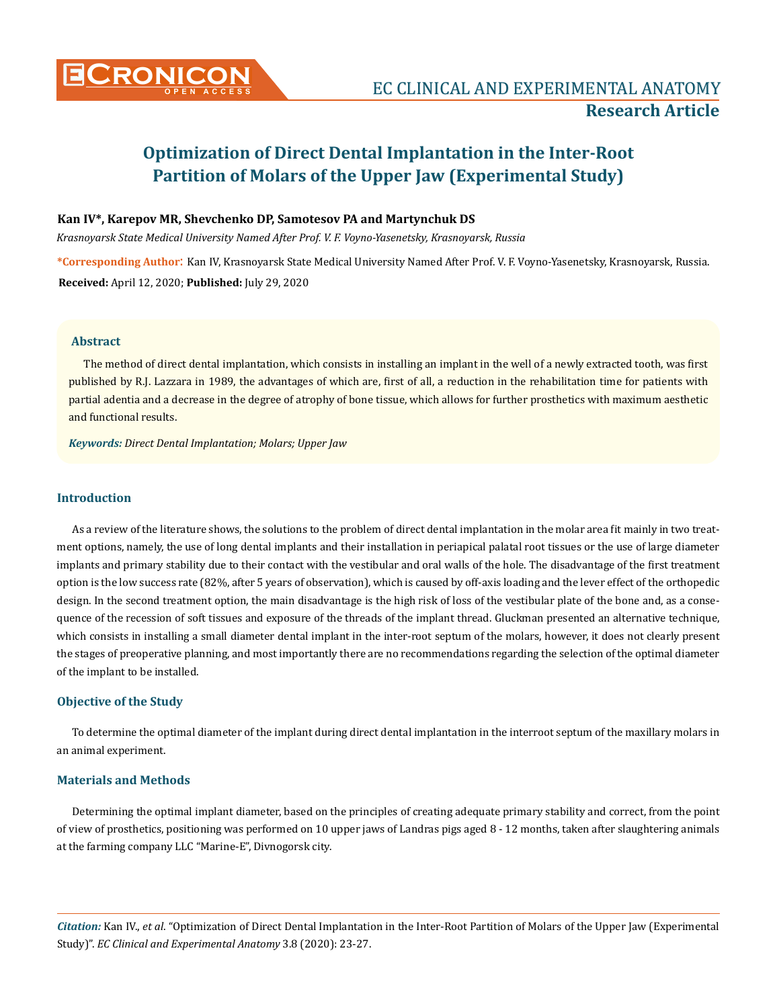

# **Optimization of Direct Dental Implantation in the Inter-Root Partition of Molars of the Upper Jaw (Experimental Study)**

# **Kan IV\*, Karepov MR, Shevchenko DP, Samotesov PA and Martynchuk DS**

*Krasnoyarsk State Medical University Named After Prof. V. F. Voyno-Yasenetsky, Krasnoyarsk, Russia*

**\*Corresponding Author**: Kan IV, Krasnoyarsk State Medical University Named After Prof. V. F. Voyno-Yasenetsky, Krasnoyarsk, Russia. **Received:** April 12, 2020; **Published:** July 29, 2020

#### **Abstract**

The method of direct dental implantation, which consists in installing an implant in the well of a newly extracted tooth, was first published by R.J. Lazzara in 1989, the advantages of which are, first of all, a reduction in the rehabilitation time for patients with partial adentia and a decrease in the degree of atrophy of bone tissue, which allows for further prosthetics with maximum aesthetic and functional results.

*Keywords: Direct Dental Implantation; Molars; Upper Jaw*

### **Introduction**

As a review of the literature shows, the solutions to the problem of direct dental implantation in the molar area fit mainly in two treatment options, namely, the use of long dental implants and their installation in periapical palatal root tissues or the use of large diameter implants and primary stability due to their contact with the vestibular and oral walls of the hole. The disadvantage of the first treatment option is the low success rate (82%, after 5 years of observation), which is caused by off-axis loading and the lever effect of the orthopedic design. In the second treatment option, the main disadvantage is the high risk of loss of the vestibular plate of the bone and, as a consequence of the recession of soft tissues and exposure of the threads of the implant thread. Gluckman presented an alternative technique, which consists in installing a small diameter dental implant in the inter-root septum of the molars, however, it does not clearly present the stages of preoperative planning, and most importantly there are no recommendations regarding the selection of the optimal diameter of the implant to be installed.

#### **Objective of the Study**

To determine the optimal diameter of the implant during direct dental implantation in the interroot septum of the maxillary molars in an animal experiment.

# **Materials and Methods**

Determining the optimal implant diameter, based on the principles of creating adequate primary stability and correct, from the point of view of prosthetics, positioning was performed on 10 upper jaws of Landras pigs aged 8 - 12 months, taken after slaughtering animals at the farming company LLC "Marine-E", Divnogorsk city.

*Citation:* Kan IV., *et al*. "Optimization of Direct Dental Implantation in the Inter-Root Partition of Molars of the Upper Jaw (Experimental Study)". *EC Clinical and Experimental Anatomy* 3.8 (2020): 23-27.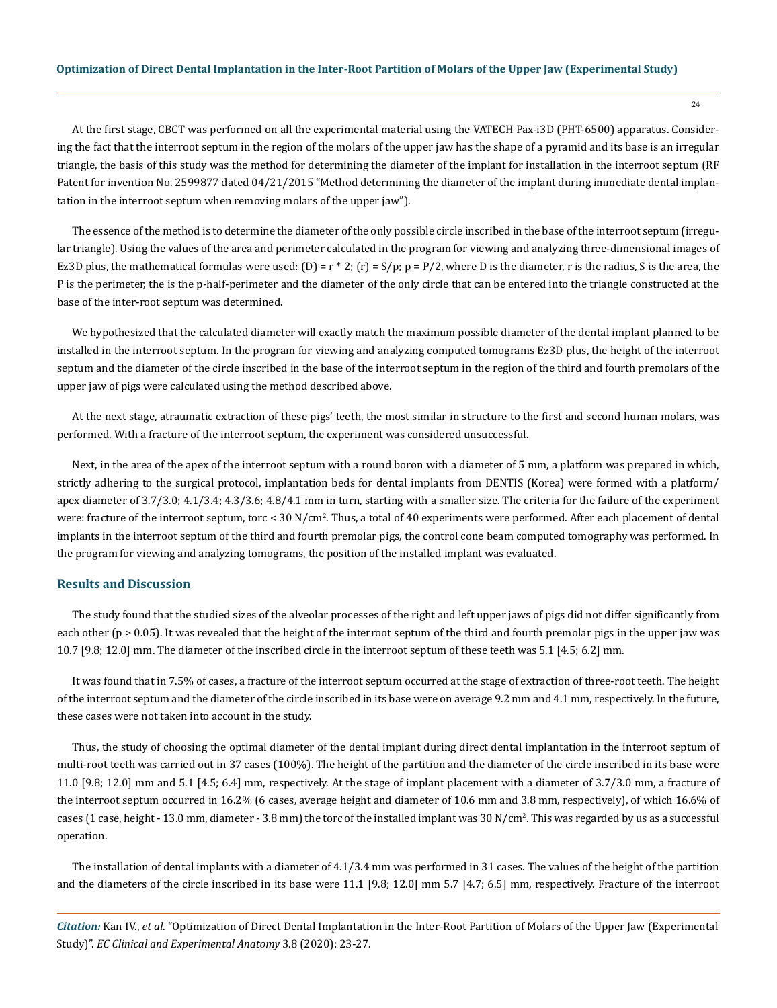At the first stage, CBCT was performed on all the experimental material using the VATECH Pax-i3D (PHT-6500) apparatus. Considering the fact that the interroot septum in the region of the molars of the upper jaw has the shape of a pyramid and its base is an irregular triangle, the basis of this study was the method for determining the diameter of the implant for installation in the interroot septum (RF Patent for invention No. 2599877 dated 04/21/2015 "Method determining the diameter of the implant during immediate dental implantation in the interroot septum when removing molars of the upper jaw").

The essence of the method is to determine the diameter of the only possible circle inscribed in the base of the interroot septum (irregular triangle). Using the values of the area and perimeter calculated in the program for viewing and analyzing three-dimensional images of Ez3D plus, the mathematical formulas were used: (D) = r \* 2; (r) = S/p; p = P/2, where D is the diameter, r is the radius, S is the area, the P is the perimeter, the is the p-half-perimeter and the diameter of the only circle that can be entered into the triangle constructed at the base of the inter-root septum was determined.

We hypothesized that the calculated diameter will exactly match the maximum possible diameter of the dental implant planned to be installed in the interroot septum. In the program for viewing and analyzing computed tomograms Ez3D plus, the height of the interroot septum and the diameter of the circle inscribed in the base of the interroot septum in the region of the third and fourth premolars of the upper jaw of pigs were calculated using the method described above.

At the next stage, atraumatic extraction of these pigs' teeth, the most similar in structure to the first and second human molars, was performed. With a fracture of the interroot septum, the experiment was considered unsuccessful.

Next, in the area of the apex of the interroot septum with a round boron with a diameter of 5 mm, a platform was prepared in which, strictly adhering to the surgical protocol, implantation beds for dental implants from DENTIS (Korea) were formed with a platform/ apex diameter of 3.7/3.0; 4.1/3.4; 4.3/3.6; 4.8/4.1 mm in turn, starting with a smaller size. The criteria for the failure of the experiment were: fracture of the interroot septum, torc < 30 N/cm<sup>2</sup>. Thus, a total of 40 experiments were performed. After each placement of dental implants in the interroot septum of the third and fourth premolar pigs, the control cone beam computed tomography was performed. In the program for viewing and analyzing tomograms, the position of the installed implant was evaluated.

#### **Results and Discussion**

The study found that the studied sizes of the alveolar processes of the right and left upper jaws of pigs did not differ significantly from each other (p > 0.05). It was revealed that the height of the interroot septum of the third and fourth premolar pigs in the upper jaw was 10.7 [9.8; 12.0] mm. The diameter of the inscribed circle in the interroot septum of these teeth was 5.1 [4.5; 6.2] mm.

It was found that in 7.5% of cases, a fracture of the interroot septum occurred at the stage of extraction of three-root teeth. The height of the interroot septum and the diameter of the circle inscribed in its base were on average 9.2 mm and 4.1 mm, respectively. In the future, these cases were not taken into account in the study.

Thus, the study of choosing the optimal diameter of the dental implant during direct dental implantation in the interroot septum of multi-root teeth was carried out in 37 cases (100%). The height of the partition and the diameter of the circle inscribed in its base were 11.0 [9.8; 12.0] mm and 5.1 [4.5; 6.4] mm, respectively. At the stage of implant placement with a diameter of 3.7/3.0 mm, a fracture of the interroot septum occurred in 16.2% (6 cases, average height and diameter of 10.6 mm and 3.8 mm, respectively), of which 16.6% of cases (1 case, height - 13.0 mm, diameter - 3.8 mm) the torc of the installed implant was 30 N/cm2 . This was regarded by us as a successful operation.

The installation of dental implants with a diameter of 4.1/3.4 mm was performed in 31 cases. The values of the height of the partition and the diameters of the circle inscribed in its base were 11.1 [9.8; 12.0] mm 5.7 [4.7; 6.5] mm, respectively. Fracture of the interroot

*Citation:* Kan IV., *et al*. "Optimization of Direct Dental Implantation in the Inter-Root Partition of Molars of the Upper Jaw (Experimental Study)". *EC Clinical and Experimental Anatomy* 3.8 (2020): 23-27.

24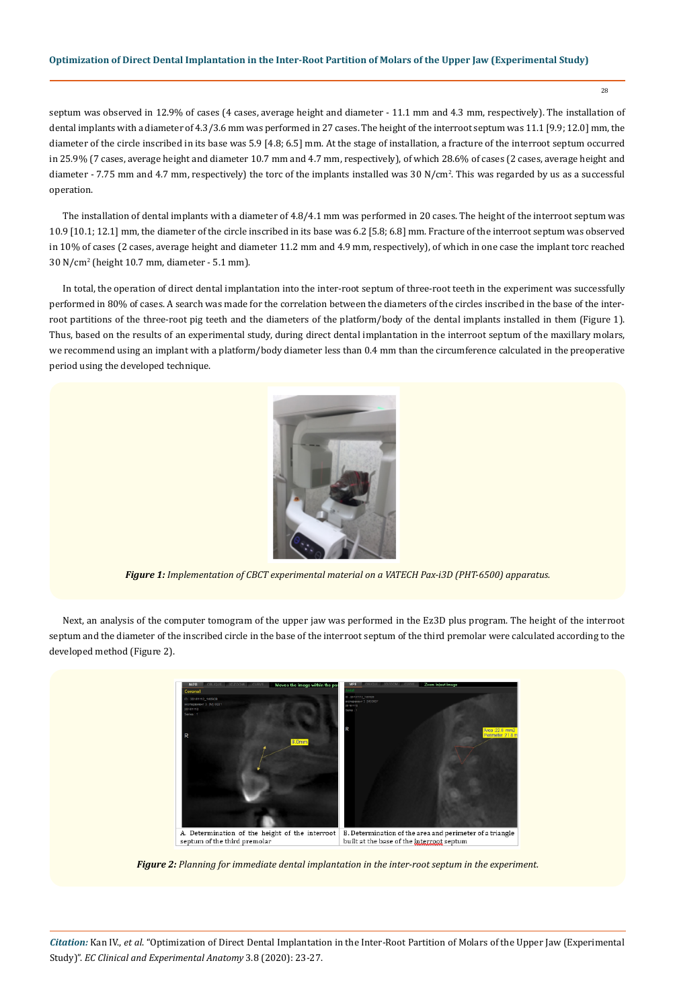# **Optimization of Direct Dental Implantation in the Inter-Root Partition of Molars of the Upper Jaw (Experimental Study)**

28

septum was observed in 12.9% of cases (4 cases, average height and diameter - 11.1 mm and 4.3 mm, respectively). The installation of dental implants with a diameter of 4.3/3.6 mm was performed in 27 cases. The height of the interroot septum was 11.1 [9.9; 12.0] mm, the diameter of the circle inscribed in its base was 5.9 [4.8; 6.5] mm. At the stage of installation, a fracture of the interroot septum occurred in 25.9% (7 cases, average height and diameter 10.7 mm and 4.7 mm, respectively), of which 28.6% of cases (2 cases, average height and diameter - 7.75 mm and 4.7 mm, respectively) the torc of the implants installed was 30 N/cm2 . This was regarded by us as a successful operation.

The installation of dental implants with a diameter of 4.8/4.1 mm was performed in 20 cases. The height of the interroot septum was 10.9 [10.1; 12.1] mm, the diameter of the circle inscribed in its base was 6.2 [5.8; 6.8] mm. Fracture of the interroot septum was observed in 10% of cases (2 cases, average height and diameter 11.2 mm and 4.9 mm, respectively), of which in one case the implant torc reached 30 N/cm2 (height 10.7 mm, diameter - 5.1 mm).

In total, the operation of direct dental implantation into the inter-root septum of three-root teeth in the experiment was successfully performed in 80% of cases. A search was made for the correlation between the diameters of the circles inscribed in the base of the interroot partitions of the three-root pig teeth and the diameters of the platform/body of the dental implants installed in them (Figure 1). Thus, based on the results of an experimental study, during direct dental implantation in the interroot septum of the maxillary molars, we recommend using an implant with a platform/body diameter less than 0.4 mm than the circumference calculated in the preoperative period using the developed technique.



*Figure 1: Implementation of CBCT experimental material on a VATECH Pax-i3D (PHT-6500) apparatus.*

Next, an analysis of the computer tomogram of the upper jaw was performed in the Ez3D plus program. The height of the interroot septum and the diameter of the inscribed circle in the base of the interroot septum of the third premolar were calculated according to the developed method (Figure 2).



*Figure 2: Planning for immediate dental implantation in the inter-root septum in the experiment.*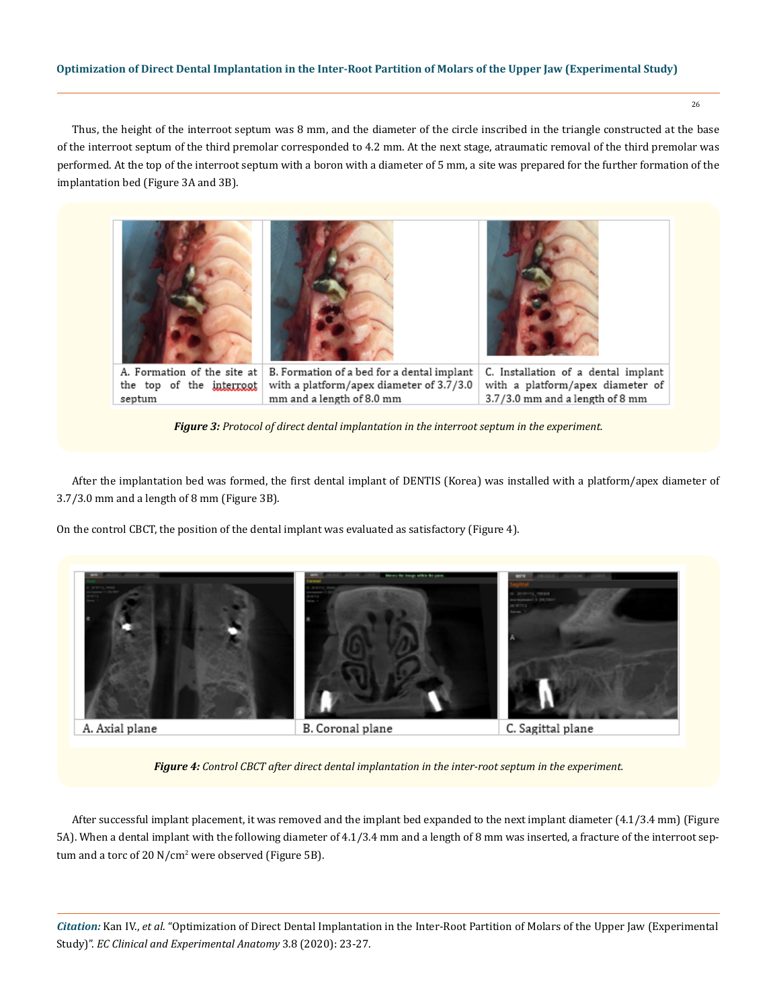#### **Optimization of Direct Dental Implantation in the Inter-Root Partition of Molars of the Upper Jaw (Experimental Study)**

26

Thus, the height of the interroot septum was 8 mm, and the diameter of the circle inscribed in the triangle constructed at the base of the interroot septum of the third premolar corresponded to 4.2 mm. At the next stage, atraumatic removal of the third premolar was performed. At the top of the interroot septum with a boron with a diameter of 5 mm, a site was prepared for the further formation of the implantation bed (Figure 3A and 3B).



*Figure 3: Protocol of direct dental implantation in the interroot septum in the experiment.*

After the implantation bed was formed, the first dental implant of DENTIS (Korea) was installed with a platform/apex diameter of 3.7/3.0 mm and a length of 8 mm (Figure 3B).

On the control CBCT, the position of the dental implant was evaluated as satisfactory (Figure 4).



*Figure 4: Control CBCT after direct dental implantation in the inter-root septum in the experiment.*

After successful implant placement, it was removed and the implant bed expanded to the next implant diameter (4.1/3.4 mm) (Figure 5A). When a dental implant with the following diameter of 4.1/3.4 mm and a length of 8 mm was inserted, a fracture of the interroot septum and a torc of 20 N/cm<sup>2</sup> were observed (Figure 5B).

*Citation:* Kan IV., *et al*. "Optimization of Direct Dental Implantation in the Inter-Root Partition of Molars of the Upper Jaw (Experimental Study)". *EC Clinical and Experimental Anatomy* 3.8 (2020): 23-27.